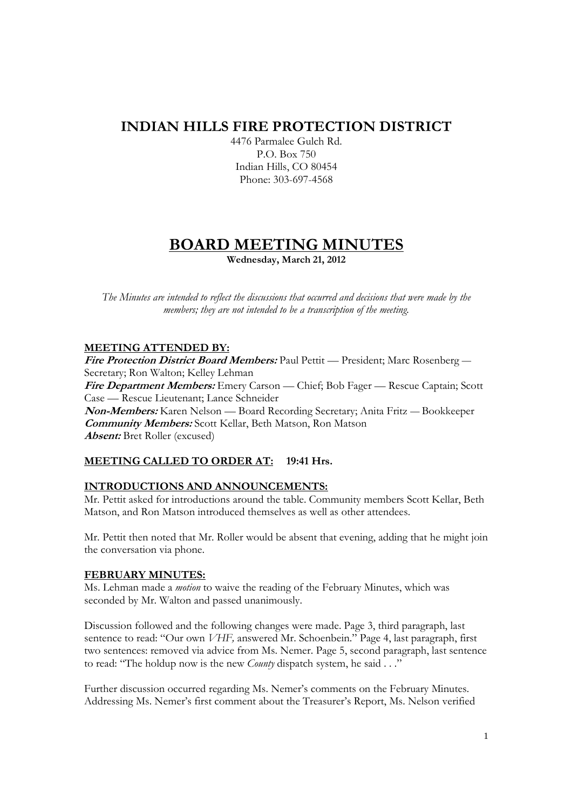# **INDIAN HILLS FIRE PROTECTION DISTRICT**

4476 Parmalee Gulch Rd. P.O. Box 750 Indian Hills, CO 80454 Phone: 303-697-4568

# **BOARD MEETING MINUTES Wednesday, March 21, 2012**

*The Minutes are intended to reflect the discussions that occurred and decisions that were made by the members; they are not intended to be a transcription of the meeting.* 

# **MEETING ATTENDED BY:**

**Fire Protection District Board Members:** Paul Pettit — President; Marc Rosenberg — Secretary; Ron Walton; Kelley Lehman **Fire Department Members:** Emery Carson — Chief; Bob Fager — Rescue Captain; Scott Case — Rescue Lieutenant; Lance Schneider **Non-Members:** Karen Nelson — Board Recording Secretary; Anita Fritz — Bookkeeper **Community Members:** Scott Kellar, Beth Matson, Ron Matson **Absent:** Bret Roller (excused)

# **MEETING CALLED TO ORDER AT: 19:41 Hrs.**

# **INTRODUCTIONS AND ANNOUNCEMENTS:**

Mr. Pettit asked for introductions around the table. Community members Scott Kellar, Beth Matson, and Ron Matson introduced themselves as well as other attendees.

Mr. Pettit then noted that Mr. Roller would be absent that evening, adding that he might join the conversation via phone.

# **FEBRUARY MINUTES:**

Ms. Lehman made a *motion* to waive the reading of the February Minutes, which was seconded by Mr. Walton and passed unanimously.

Discussion followed and the following changes were made. Page 3, third paragraph, last sentence to read: "Our own *VHF,* answered Mr. Schoenbein." Page 4, last paragraph, first two sentences: removed via advice from Ms. Nemer. Page 5, second paragraph, last sentence to read: "The holdup now is the new *County* dispatch system, he said . . ."

Further discussion occurred regarding Ms. Nemer's comments on the February Minutes. Addressing Ms. Nemer's first comment about the Treasurer's Report, Ms. Nelson verified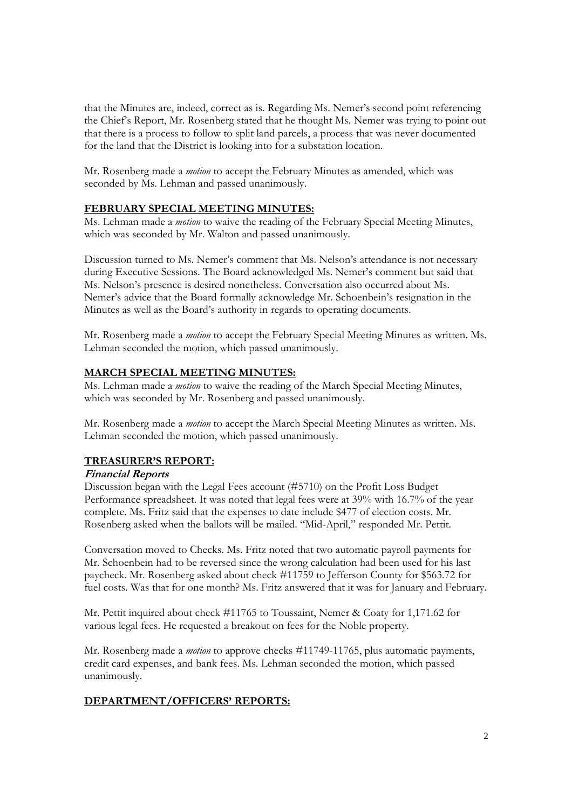that the Minutes are, indeed, correct as is. Regarding Ms. Nemer's second point referencing the Chief's Report, Mr. Rosenberg stated that he thought Ms. Nemer was trying to point out that there is a process to follow to split land parcels, a process that was never documented for the land that the District is looking into for a substation location.

Mr. Rosenberg made a *motion* to accept the February Minutes as amended, which was seconded by Ms. Lehman and passed unanimously.

#### **FEBRUARY SPECIAL MEETING MINUTES:**

Ms. Lehman made a *motion* to waive the reading of the February Special Meeting Minutes, which was seconded by Mr. Walton and passed unanimously.

Discussion turned to Ms. Nemer's comment that Ms. Nelson's attendance is not necessary during Executive Sessions. The Board acknowledged Ms. Nemer's comment but said that Ms. Nelson's presence is desired nonetheless. Conversation also occurred about Ms. Nemer's advice that the Board formally acknowledge Mr. Schoenbein's resignation in the Minutes as well as the Board's authority in regards to operating documents.

Mr. Rosenberg made a *motion* to accept the February Special Meeting Minutes as written. Ms. Lehman seconded the motion, which passed unanimously.

#### **MARCH SPECIAL MEETING MINUTES:**

Ms. Lehman made a *motion* to waive the reading of the March Special Meeting Minutes, which was seconded by Mr. Rosenberg and passed unanimously.

Mr. Rosenberg made a *motion* to accept the March Special Meeting Minutes as written. Ms. Lehman seconded the motion, which passed unanimously.

#### **TREASURER'S REPORT:**

#### **Financial Reports**

Discussion began with the Legal Fees account (#5710) on the Profit Loss Budget Performance spreadsheet. It was noted that legal fees were at 39% with 16.7% of the year complete. Ms. Fritz said that the expenses to date include \$477 of election costs. Mr. Rosenberg asked when the ballots will be mailed. "Mid-April," responded Mr. Pettit.

Conversation moved to Checks. Ms. Fritz noted that two automatic payroll payments for Mr. Schoenbein had to be reversed since the wrong calculation had been used for his last paycheck. Mr. Rosenberg asked about check #11759 to Jefferson County for \$563.72 for fuel costs. Was that for one month? Ms. Fritz answered that it was for January and February.

Mr. Pettit inquired about check #11765 to Toussaint, Nemer & Coaty for 1,171.62 for various legal fees. He requested a breakout on fees for the Noble property.

Mr. Rosenberg made a *motion* to approve checks #11749-11765, plus automatic payments, credit card expenses, and bank fees. Ms. Lehman seconded the motion, which passed unanimously.

# **DEPARTMENT/OFFICERS' REPORTS:**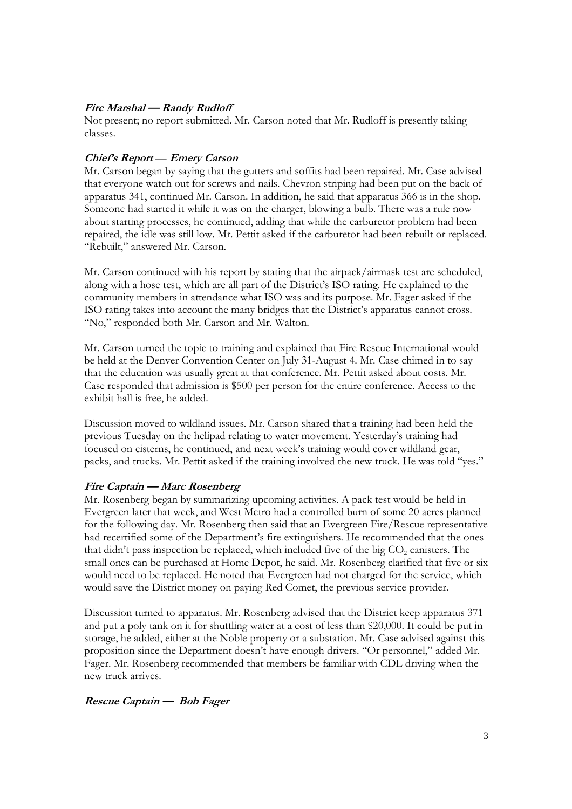## **Fire Marshal — Randy Rudloff**

Not present; no report submitted. Mr. Carson noted that Mr. Rudloff is presently taking classes.

#### **Chief's Report** — **Emery Carson**

Mr. Carson began by saying that the gutters and soffits had been repaired. Mr. Case advised that everyone watch out for screws and nails. Chevron striping had been put on the back of apparatus 341, continued Mr. Carson. In addition, he said that apparatus 366 is in the shop. Someone had started it while it was on the charger, blowing a bulb. There was a rule now about starting processes, he continued, adding that while the carburetor problem had been repaired, the idle was still low. Mr. Pettit asked if the carburetor had been rebuilt or replaced. "Rebuilt," answered Mr. Carson.

Mr. Carson continued with his report by stating that the airpack/airmask test are scheduled, along with a hose test, which are all part of the District's ISO rating. He explained to the community members in attendance what ISO was and its purpose. Mr. Fager asked if the ISO rating takes into account the many bridges that the District's apparatus cannot cross. "No," responded both Mr. Carson and Mr. Walton.

Mr. Carson turned the topic to training and explained that Fire Rescue International would be held at the Denver Convention Center on July 31-August 4. Mr. Case chimed in to say that the education was usually great at that conference. Mr. Pettit asked about costs. Mr. Case responded that admission is \$500 per person for the entire conference. Access to the exhibit hall is free, he added.

Discussion moved to wildland issues. Mr. Carson shared that a training had been held the previous Tuesday on the helipad relating to water movement. Yesterday's training had focused on cisterns, he continued, and next week's training would cover wildland gear, packs, and trucks. Mr. Pettit asked if the training involved the new truck. He was told "yes."

#### **Fire Captain — Marc Rosenberg**

Mr. Rosenberg began by summarizing upcoming activities. A pack test would be held in Evergreen later that week, and West Metro had a controlled burn of some 20 acres planned for the following day. Mr. Rosenberg then said that an Evergreen Fire/Rescue representative had recertified some of the Department's fire extinguishers. He recommended that the ones that didn't pass inspection be replaced, which included five of the big  $CO_2$  canisters. The small ones can be purchased at Home Depot, he said. Mr. Rosenberg clarified that five or six would need to be replaced. He noted that Evergreen had not charged for the service, which would save the District money on paying Red Comet, the previous service provider.

Discussion turned to apparatus. Mr. Rosenberg advised that the District keep apparatus 371 and put a poly tank on it for shuttling water at a cost of less than \$20,000. It could be put in storage, he added, either at the Noble property or a substation. Mr. Case advised against this proposition since the Department doesn't have enough drivers. "Or personnel," added Mr. Fager. Mr. Rosenberg recommended that members be familiar with CDL driving when the new truck arrives.

# **Rescue Captain — Bob Fager**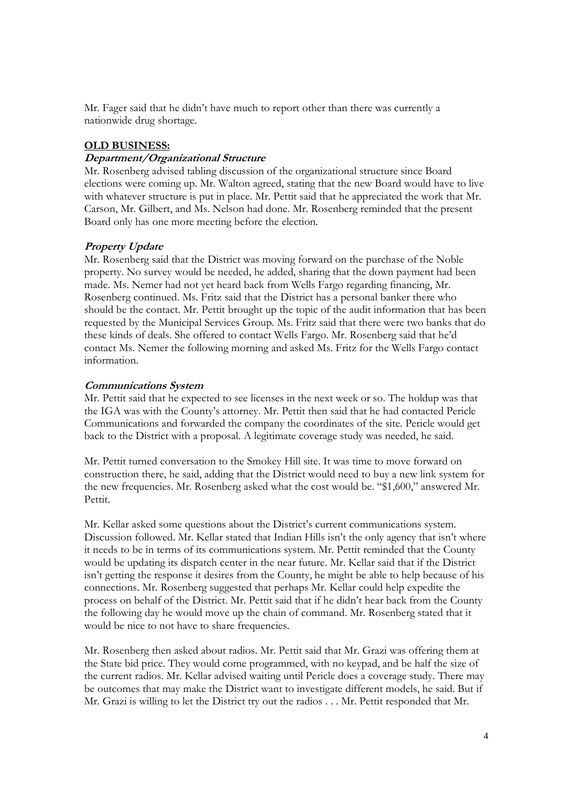Mr. Fager said that he didn't have much to report other than there was currently a nationwide drug shortage.

#### **OLD BUSINESS:**

#### **Department/Organizational Structure**

Mr. Rosenberg advised tabling discussion of the organizational structure since Board elections were coming up. Mr. Walton agreed, stating that the new Board would have to live with whatever structure is put in place. Mr. Pettit said that he appreciated the work that Mr. Carson, Mr. Gilbert, and Ms. Nelson had done. Mr. Rosenberg reminded that the present Board only has one more meeting before the election.

#### **Property Update**

Mr. Rosenberg said that the District was moving forward on the purchase of the Noble property. No survey would be needed, he added, sharing that the down payment had been made. Ms. Nemer had not yet heard back from Wells Fargo regarding financing, Mr. Rosenberg continued. Ms. Fritz said that the District has a personal banker there who should be the contact. Mr. Pettit brought up the topic of the audit information that has been requested by the Municipal Services Group. Ms. Fritz said that there were two banks that do these kinds of deals. She offered to contact Wells Fargo. Mr. Rosenberg said that he'd contact Ms. Nemer the following morning and asked Ms. Fritz for the Wells Fargo contact information.

#### **Communications System**

Mr. Pettit said that he expected to see licenses in the next week or so. The holdup was that the IGA was with the County's attorney. Mr. Pettit then said that he had contacted Pericle Communications and forwarded the company the coordinates of the site. Pericle would get back to the District with a proposal. A legitimate coverage study was needed, he said.

Mr. Pettit turned conversation to the Smokey Hill site. It was time to move forward on construction there, he said, adding that the District would need to buy a new link system for the new frequencies. Mr. Rosenberg asked what the cost would be. "\$1,600," answered Mr. Pettit.

Mr. Kellar asked some questions about the District's current communications system. Discussion followed. Mr. Kellar stated that Indian Hills isn't the only agency that isn't where it needs to be in terms of its communications system. Mr. Pettit reminded that the County would be updating its dispatch center in the near future. Mr. Kellar said that if the District isn't getting the response it desires from the County, he might be able to help because of his connections. Mr. Rosenberg suggested that perhaps Mr. Kellar could help expedite the process on behalf of the District. Mr. Pettit said that if he didn't hear back from the County the following day he would move up the chain of command. Mr. Rosenberg stated that it would be nice to not have to share frequencies.

Mr. Rosenberg then asked about radios. Mr. Pettit said that Mr. Grazi was offering them at the State bid price. They would come programmed, with no keypad, and be half the size of the current radios. Mr. Kellar advised waiting until Pericle does a coverage study. There may be outcomes that may make the District want to investigate different models, he said. But if Mr. Grazi is willing to let the District try out the radios . . . Mr. Pettit responded that Mr.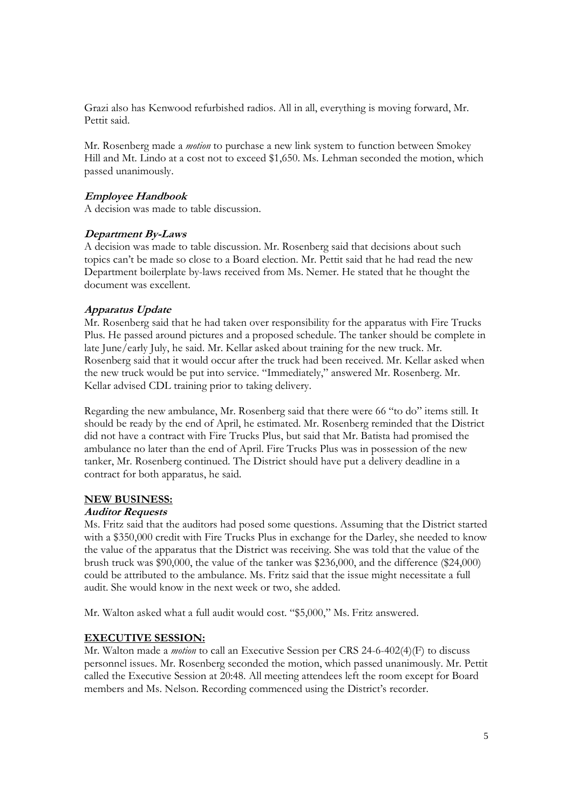Grazi also has Kenwood refurbished radios. All in all, everything is moving forward, Mr. Pettit said.

Mr. Rosenberg made a *motion* to purchase a new link system to function between Smokey Hill and Mt. Lindo at a cost not to exceed \$1,650. Ms. Lehman seconded the motion, which passed unanimously.

#### **Employee Handbook**

A decision was made to table discussion.

#### **Department By-Laws**

A decision was made to table discussion. Mr. Rosenberg said that decisions about such topics can't be made so close to a Board election. Mr. Pettit said that he had read the new Department boilerplate by-laws received from Ms. Nemer. He stated that he thought the document was excellent.

#### **Apparatus Update**

Mr. Rosenberg said that he had taken over responsibility for the apparatus with Fire Trucks Plus. He passed around pictures and a proposed schedule. The tanker should be complete in late June/early July, he said. Mr. Kellar asked about training for the new truck. Mr. Rosenberg said that it would occur after the truck had been received. Mr. Kellar asked when the new truck would be put into service. "Immediately," answered Mr. Rosenberg. Mr. Kellar advised CDL training prior to taking delivery.

Regarding the new ambulance, Mr. Rosenberg said that there were 66 "to do" items still. It should be ready by the end of April, he estimated. Mr. Rosenberg reminded that the District did not have a contract with Fire Trucks Plus, but said that Mr. Batista had promised the ambulance no later than the end of April. Fire Trucks Plus was in possession of the new tanker, Mr. Rosenberg continued. The District should have put a delivery deadline in a contract for both apparatus, he said.

#### **NEW BUSINESS:**

#### **Auditor Requests**

Ms. Fritz said that the auditors had posed some questions. Assuming that the District started with a \$350,000 credit with Fire Trucks Plus in exchange for the Darley, she needed to know the value of the apparatus that the District was receiving. She was told that the value of the brush truck was \$90,000, the value of the tanker was \$236,000, and the difference (\$24,000) could be attributed to the ambulance. Ms. Fritz said that the issue might necessitate a full audit. She would know in the next week or two, she added.

Mr. Walton asked what a full audit would cost. "\$5,000," Ms. Fritz answered.

# **EXECUTIVE SESSION:**

Mr. Walton made a *motion* to call an Executive Session per CRS 24-6-402(4)(F) to discuss personnel issues. Mr. Rosenberg seconded the motion, which passed unanimously. Mr. Pettit called the Executive Session at 20:48. All meeting attendees left the room except for Board members and Ms. Nelson. Recording commenced using the District's recorder.